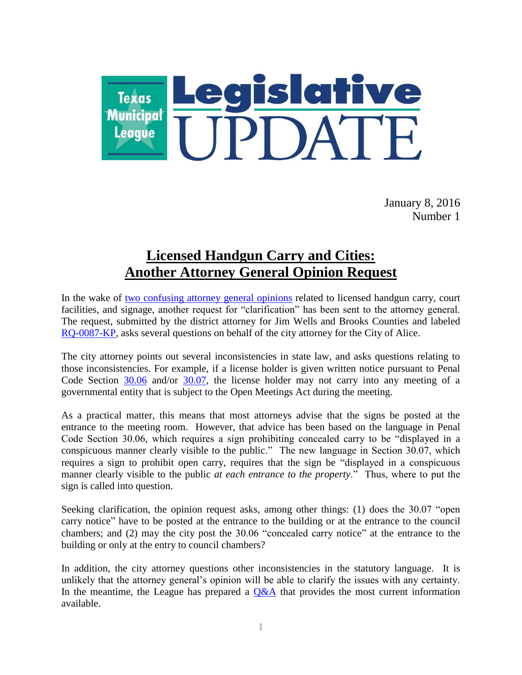

January 8, 2016 Number 1

## **Licensed Handgun Carry and Cities: Another Attorney General Opinion Request**

In the wake of [two confusing attorney general opinions](http://www.tml.org/legis_updates/licensed-carry-and-courts-attorney-general-opinions-confuse-the-issues) related to licensed handgun carry, court facilities, and signage, another request for "clarification" has been sent to the attorney general. The request, submitted by the district attorney for Jim Wells and Brooks Counties and labeled [RQ-0087-KP,](https://www.texasattorneygeneral.gov/opinions/opinions/51paxton/rq/2015/pdf/RQ0087KP.pdf) asks several questions on behalf of the city attorney for the City of Alice.

The city attorney points out several inconsistencies in state law, and asks questions relating to those inconsistencies. For example, if a license holder is given written notice pursuant to Penal Code Section [30.06](http://www.statutes.legis.state.tx.us/Docs/PE/htm/PE.30.htm#30.06) and/or [30.07,](http://www.statutes.legis.state.tx.us/Docs/PE/htm/PE.30.htm#30.07) the license holder may not carry into any meeting of a governmental entity that is subject to the Open Meetings Act during the meeting.

As a practical matter, this means that most attorneys advise that the signs be posted at the entrance to the meeting room. However, that advice has been based on the language in Penal Code Section 30.06, which requires a sign prohibiting concealed carry to be "displayed in a conspicuous manner clearly visible to the public." The new language in Section 30.07, which requires a sign to prohibit open carry, requires that the sign be "displayed in a conspicuous manner clearly visible to the public *at each entrance to the property*." Thus, where to put the sign is called into question.

Seeking clarification, the opinion request asks, among other things: (1) does the 30.07 "open carry notice" have to be posted at the entrance to the building or at the entrance to the council chambers; and (2) may the city post the 30.06 "concealed carry notice" at the entrance to the building or only at the entry to council chambers?

In addition, the city attorney questions other inconsistencies in the statutory language. It is unlikely that the attorney general's opinion will be able to clarify the issues with any certainty. In the meantime, the League has prepared a  $Q\&A$  that provides the most current information available.